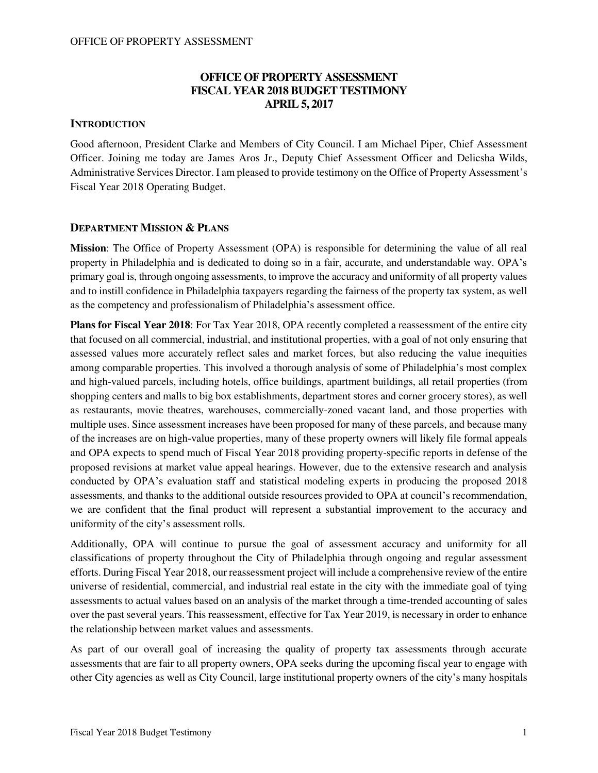### **OFFICE OF PROPERTY ASSESSMENT FISCAL YEAR 2018 BUDGET TESTIMONY APRIL 5, 2017**

#### **INTRODUCTION**

Good afternoon, President Clarke and Members of City Council. I am Michael Piper, Chief Assessment Officer. Joining me today are James Aros Jr., Deputy Chief Assessment Officer and Delicsha Wilds, Administrative Services Director. I am pleased to provide testimony on the Office of Property Assessment's Fiscal Year 2018 Operating Budget.

#### **DEPARTMENT MISSION & PLANS**

**Mission**: The Office of Property Assessment (OPA) is responsible for determining the value of all real property in Philadelphia and is dedicated to doing so in a fair, accurate, and understandable way. OPA's primary goal is, through ongoing assessments, to improve the accuracy and uniformity of all property values and to instill confidence in Philadelphia taxpayers regarding the fairness of the property tax system, as well as the competency and professionalism of Philadelphia's assessment office.

**Plans for Fiscal Year 2018**: For Tax Year 2018, OPA recently completed a reassessment of the entire city that focused on all commercial, industrial, and institutional properties, with a goal of not only ensuring that assessed values more accurately reflect sales and market forces, but also reducing the value inequities among comparable properties. This involved a thorough analysis of some of Philadelphia's most complex and high-valued parcels, including hotels, office buildings, apartment buildings, all retail properties (from shopping centers and malls to big box establishments, department stores and corner grocery stores), as well as restaurants, movie theatres, warehouses, commercially-zoned vacant land, and those properties with multiple uses. Since assessment increases have been proposed for many of these parcels, and because many of the increases are on high-value properties, many of these property owners will likely file formal appeals and OPA expects to spend much of Fiscal Year 2018 providing property-specific reports in defense of the proposed revisions at market value appeal hearings. However, due to the extensive research and analysis conducted by OPA's evaluation staff and statistical modeling experts in producing the proposed 2018 assessments, and thanks to the additional outside resources provided to OPA at council's recommendation, we are confident that the final product will represent a substantial improvement to the accuracy and uniformity of the city's assessment rolls.

Additionally, OPA will continue to pursue the goal of assessment accuracy and uniformity for all classifications of property throughout the City of Philadelphia through ongoing and regular assessment efforts. During Fiscal Year 2018, our reassessment project will include a comprehensive review of the entire universe of residential, commercial, and industrial real estate in the city with the immediate goal of tying assessments to actual values based on an analysis of the market through a time-trended accounting of sales over the past several years. This reassessment, effective for Tax Year 2019, is necessary in order to enhance the relationship between market values and assessments.

As part of our overall goal of increasing the quality of property tax assessments through accurate assessments that are fair to all property owners, OPA seeks during the upcoming fiscal year to engage with other City agencies as well as City Council, large institutional property owners of the city's many hospitals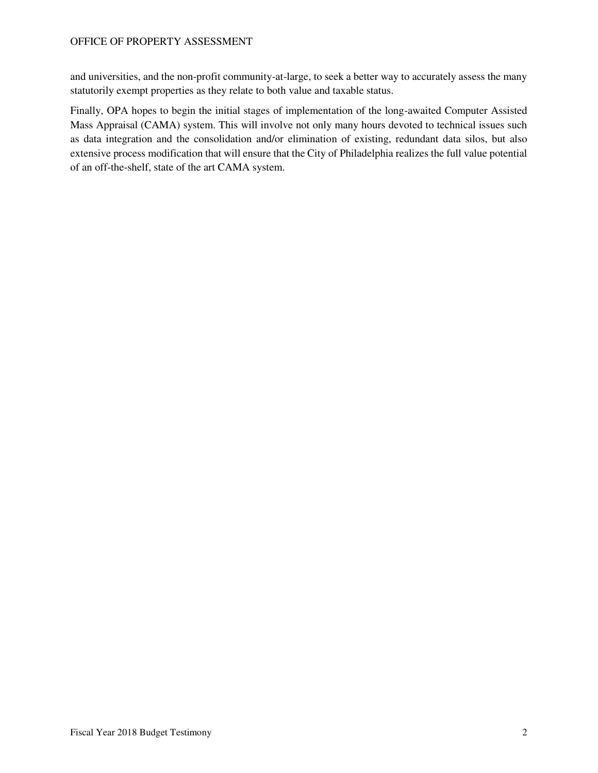and universities, and the non-profit community-at-large, to seek a better way to accurately assess the many statutorily exempt properties as they relate to both value and taxable status.

Finally, OPA hopes to begin the initial stages of implementation of the long-awaited Computer Assisted Mass Appraisal (CAMA) system. This will involve not only many hours devoted to technical issues such as data integration and the consolidation and/or elimination of existing, redundant data silos, but also extensive process modification that will ensure that the City of Philadelphia realizes the full value potential of an off-the-shelf, state of the art CAMA system.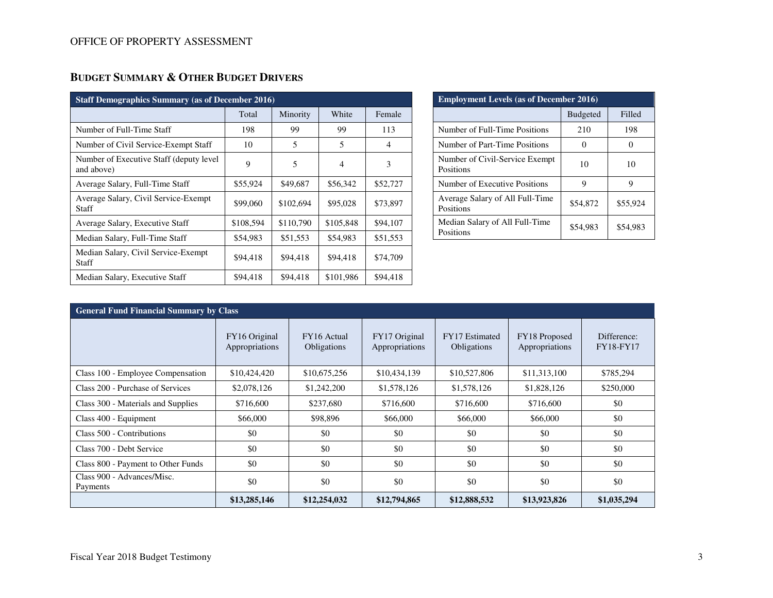| <b>Staff Demographics Summary (as of December 2016)</b> |           |           |           |                |  |  |  |  |
|---------------------------------------------------------|-----------|-----------|-----------|----------------|--|--|--|--|
|                                                         | Total     | Minority  | White     | Female         |  |  |  |  |
| Number of Full-Time Staff                               | 198       | 99        | 99        | 113            |  |  |  |  |
| Number of Civil Service-Exempt Staff                    | 10        | 5         | 5         | $\overline{4}$ |  |  |  |  |
| Number of Executive Staff (deputy level)<br>and above)  | 9         | 5         |           | 3              |  |  |  |  |
| Average Salary, Full-Time Staff                         | \$55,924  | \$49,687  | \$56,342  | \$52,727       |  |  |  |  |
| Average Salary, Civil Service-Exempt<br><b>Staff</b>    | \$99,060  | \$102,694 | \$95,028  | \$73,897       |  |  |  |  |
| Average Salary, Executive Staff                         | \$108,594 | \$110,790 | \$105,848 | \$94,107       |  |  |  |  |
| Median Salary, Full-Time Staff                          | \$54,983  | \$51,553  | \$54,983  | \$51,553       |  |  |  |  |
| Median Salary, Civil Service-Exempt<br>Staff            | \$94,418  | \$94,418  | \$94,418  | \$74,709       |  |  |  |  |
| Median Salary, Executive Staff                          | \$94,418  | \$94,418  | \$101,986 | \$94,418       |  |  |  |  |

| <b>Employment Levels (as of December 2016)</b> |                 |          |  |  |  |  |  |
|------------------------------------------------|-----------------|----------|--|--|--|--|--|
|                                                | <b>Budgeted</b> | Filled   |  |  |  |  |  |
| Number of Full-Time Positions                  | 210             | 198      |  |  |  |  |  |
| Number of Part-Time Positions                  |                 |          |  |  |  |  |  |
| Number of Civil-Service Exempt<br>Positions    | 10              | 10       |  |  |  |  |  |
| Number of Executive Positions                  | 9               | 9        |  |  |  |  |  |
| Average Salary of All Full-Time<br>Positions   | \$54,872        | \$55,924 |  |  |  |  |  |
| Median Salary of All Full-Time<br>Positions    | \$54,983        | \$54.983 |  |  |  |  |  |

| <b>General Fund Financial Summary by Class</b> |                                 |                            |                                 |                                      |                                 |                                 |  |  |  |
|------------------------------------------------|---------------------------------|----------------------------|---------------------------------|--------------------------------------|---------------------------------|---------------------------------|--|--|--|
|                                                | FY16 Original<br>Appropriations | FY16 Actual<br>Obligations | FY17 Original<br>Appropriations | <b>FY17</b> Estimated<br>Obligations | FY18 Proposed<br>Appropriations | Difference:<br><b>FY18-FY17</b> |  |  |  |
| Class 100 - Employee Compensation              | \$10,424,420                    | \$10,675,256               | \$10,434,139                    | \$10,527,806                         | \$11,313,100                    | \$785,294                       |  |  |  |
| Class 200 - Purchase of Services               | \$2,078,126                     | \$1,242,200                | \$1,578,126                     | \$1,578,126                          | \$1,828,126                     | \$250,000                       |  |  |  |
| Class 300 - Materials and Supplies             | \$716,600                       | \$237,680                  | \$716,600                       | \$716,600                            | \$716,600                       | \$0                             |  |  |  |
| Class 400 - Equipment                          | \$66,000                        | \$98,896                   | \$66,000                        | \$66,000                             | \$66,000                        | \$0                             |  |  |  |
| Class 500 - Contributions                      | \$0                             | \$0                        | \$0                             | \$0                                  | \$0                             | \$0                             |  |  |  |
| Class 700 - Debt Service                       | \$0                             | \$0                        | \$0                             | \$0                                  | \$0                             | \$0                             |  |  |  |
| Class 800 - Payment to Other Funds             | \$0                             | \$0                        | \$0                             | \$0                                  | \$0                             | \$0                             |  |  |  |
| Class 900 - Advances/Misc.<br>Payments         | \$0                             | \$0                        | \$0                             | \$0                                  | \$0                             | \$0                             |  |  |  |
|                                                | \$13,285,146                    | \$12,254,032               | \$12,794,865                    | \$12,888,532                         | \$13,923,826                    | \$1,035,294                     |  |  |  |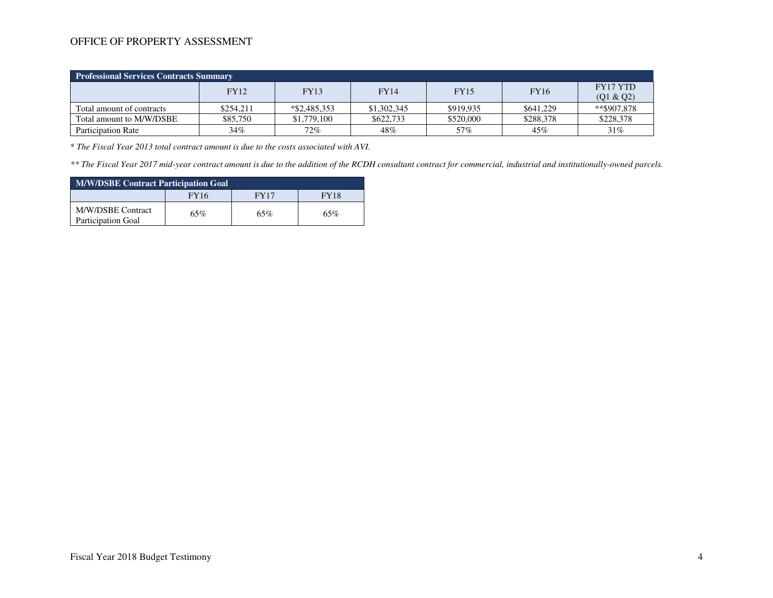| <b>Professional Services Contracts Summary</b> |             |                 |             |             |             |                       |  |  |  |
|------------------------------------------------|-------------|-----------------|-------------|-------------|-------------|-----------------------|--|--|--|
|                                                | <b>FY12</b> | <b>FY13</b>     | <b>FY14</b> | <b>FY15</b> | <b>FY16</b> | FY17 YTD<br>(Q1 & Q2) |  |  |  |
| Total amount of contracts                      | \$254.211   | $*$ \$2,485,353 | \$1,302,345 | \$919.935   | \$641,229   | **\$907.878           |  |  |  |
| Total amount to M/W/DSBE                       | \$85,750    | \$1,779,100     | \$622,733   | \$520,000   | \$288,378   | \$228,378             |  |  |  |
| <b>Participation Rate</b>                      | 34%         | 72%             | 48%         | 57%         | 45%         | 31%                   |  |  |  |

\* *The Fiscal Year 2013 total contract amount is due to the costs associated with AVI.* 

*\*\* The Fiscal Year 2017 mid-year contract amount is due to the addition of the RCDH consultant contract for commercial, industrial and institutionally-owned parcels.*

| <b>M/W/DSBE Contract Participation Goal</b>    |                                           |     |     |  |  |  |  |
|------------------------------------------------|-------------------------------------------|-----|-----|--|--|--|--|
|                                                | <b>FY16</b><br><b>FY18</b><br><b>FY17</b> |     |     |  |  |  |  |
| M/W/DSBE Contract<br><b>Participation Goal</b> | 65%                                       | 65% | 65% |  |  |  |  |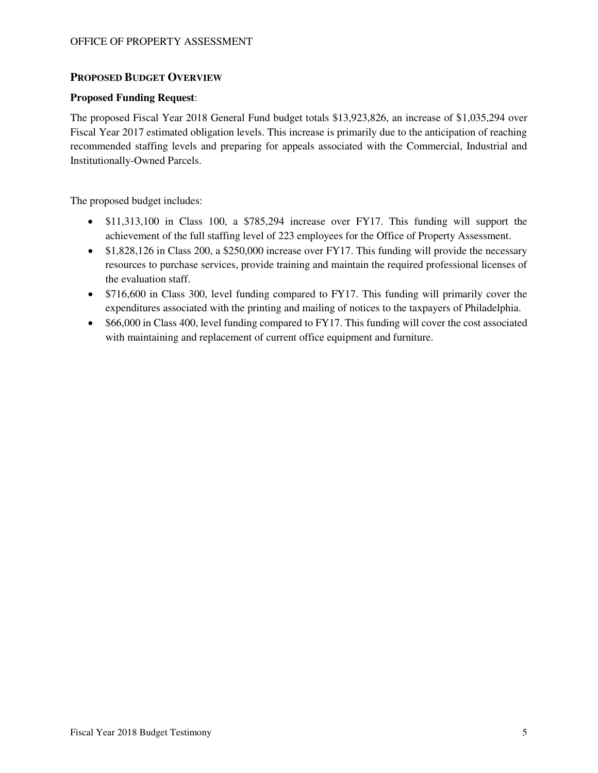#### **PROPOSED BUDGET OVERVIEW**

#### **Proposed Funding Request**:

The proposed Fiscal Year 2018 General Fund budget totals \$13,923,826, an increase of \$1,035,294 over Fiscal Year 2017 estimated obligation levels. This increase is primarily due to the anticipation of reaching recommended staffing levels and preparing for appeals associated with the Commercial, Industrial and Institutionally-Owned Parcels.

The proposed budget includes:

- \$11,313,100 in Class 100, a \$785,294 increase over FY17. This funding will support the achievement of the full staffing level of 223 employees for the Office of Property Assessment.
- \$1,828,126 in Class 200, a \$250,000 increase over FY17. This funding will provide the necessary resources to purchase services, provide training and maintain the required professional licenses of the evaluation staff.
- \$716,600 in Class 300, level funding compared to FY17. This funding will primarily cover the expenditures associated with the printing and mailing of notices to the taxpayers of Philadelphia.
- \$66,000 in Class 400, level funding compared to FY17. This funding will cover the cost associated with maintaining and replacement of current office equipment and furniture.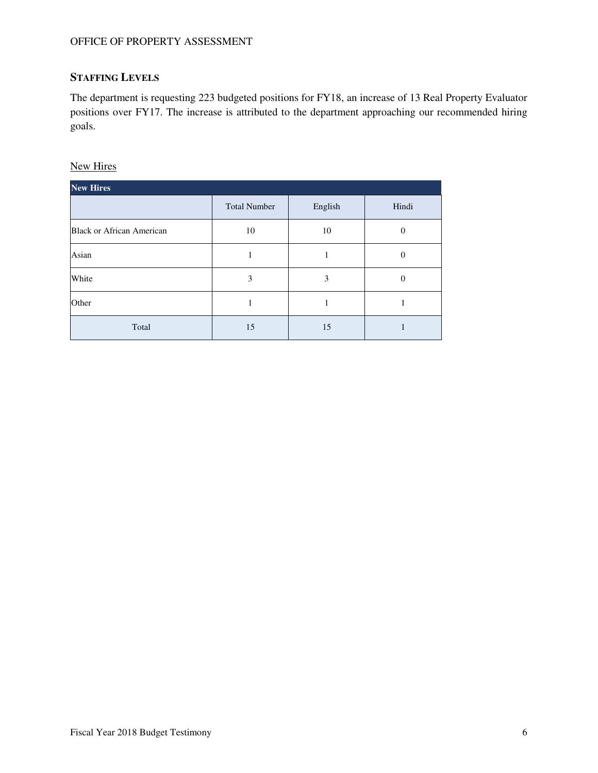## **STAFFING LEVELS**

The department is requesting 223 budgeted positions for FY18, an increase of 13 Real Property Evaluator positions over FY17. The increase is attributed to the department approaching our recommended hiring goals.

New Hires

| <b>New Hires</b>                 |                     |         |                |  |  |  |  |  |  |
|----------------------------------|---------------------|---------|----------------|--|--|--|--|--|--|
|                                  | <b>Total Number</b> | English | Hindi          |  |  |  |  |  |  |
| <b>Black or African American</b> | 10                  | 10      | 0              |  |  |  |  |  |  |
| Asian                            |                     |         | 0              |  |  |  |  |  |  |
| White                            | 3                   | 3       | $\overline{0}$ |  |  |  |  |  |  |
| Other                            |                     |         |                |  |  |  |  |  |  |
| Total                            | 15                  | 15      |                |  |  |  |  |  |  |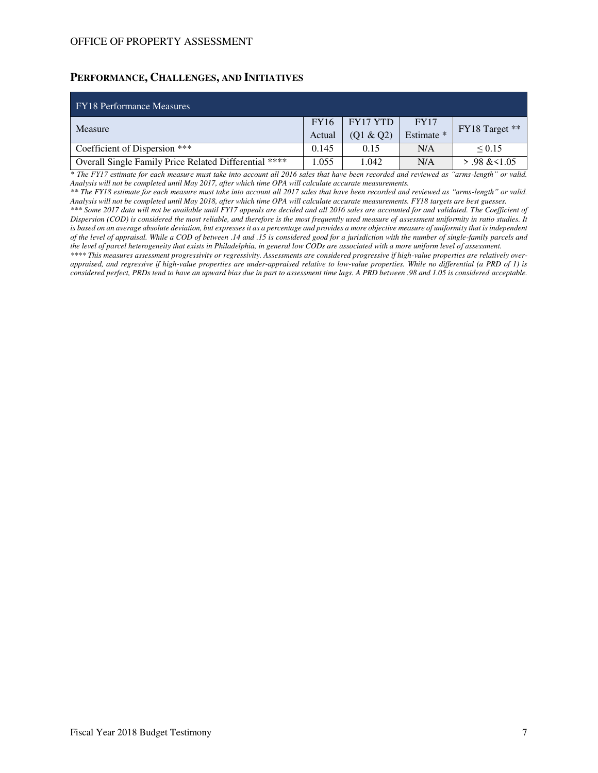#### **PERFORMANCE, CHALLENGES, AND INITIATIVES**

| <b>FY18</b> Performance Measures                      |             |           |             |                 |  |
|-------------------------------------------------------|-------------|-----------|-------------|-----------------|--|
| Measure                                               | <b>FY16</b> | FY17 YTD  | <b>FY17</b> | FY18 Target **  |  |
|                                                       | Actual      | (Q1 & Q2) | Estimate *  |                 |  |
| Coefficient of Dispersion ***                         | 0.145       | 0.15      | N/A         | $\le 0.15$      |  |
| Overall Single Family Price Related Differential **** | 1.055       | 1.042     | N/A         | $> .98 \< 1.05$ |  |

*\* The FY17 estimate for each measure must take into account all 2016 sales that have been recorded and reviewed as "arms-length" or valid. Analysis will not be completed until May 2017, after which time OPA will calculate accurate measurements.* 

*\*\* The FY18 estimate for each measure must take into account all 2017 sales that have been recorded and reviewed as "arms-length" or valid. Analysis will not be completed until May 2018, after which time OPA will calculate accurate measurements. FY18 targets are best guesses.* 

*\*\*\* Some 2017 data will not be available until FY17 appeals are decided and all 2016 sales are accounted for and validated. The Coefficient of Dispersion (COD) is considered the most reliable, and therefore is the most frequently used measure of assessment uniformity in ratio studies. It*  is based on an average absolute deviation, but expresses it as a percentage and provides a more objective measure of uniformity that is independent *of the level of appraisal. While a COD of between .14 and .15 is considered good for a jurisdiction with the number of single-family parcels and the level of parcel heterogeneity that exists in Philadelphia, in general low CODs are associated with a more uniform level of assessment.* 

*\*\*\*\* This measures assessment progressivity or regressivity. Assessments are considered progressive if high-value properties are relatively overappraised, and regressive if high-value properties are under-appraised relative to low-value properties. While no differential (a PRD of 1) is considered perfect, PRDs tend to have an upward bias due in part to assessment time lags. A PRD between .98 and 1.05 is considered acceptable.*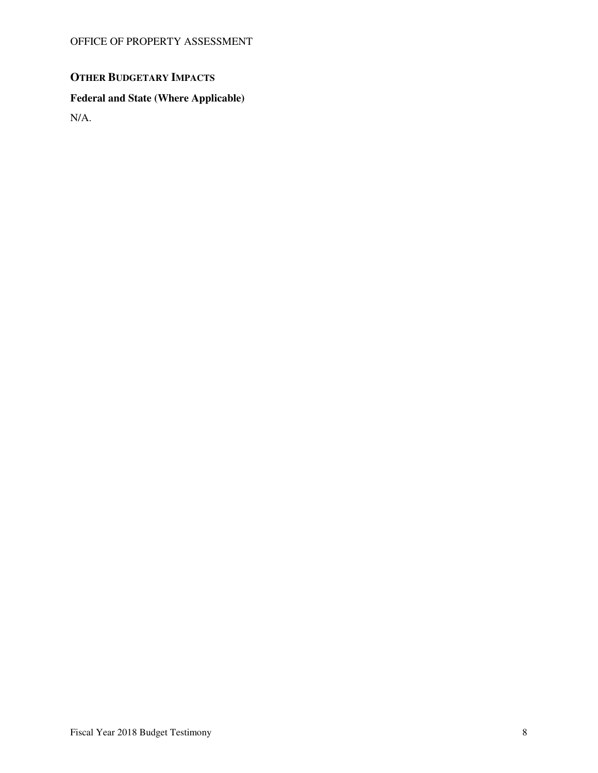# **OTHER BUDGETARY IMPACTS**

## **Federal and State (Where Applicable)**

N/A.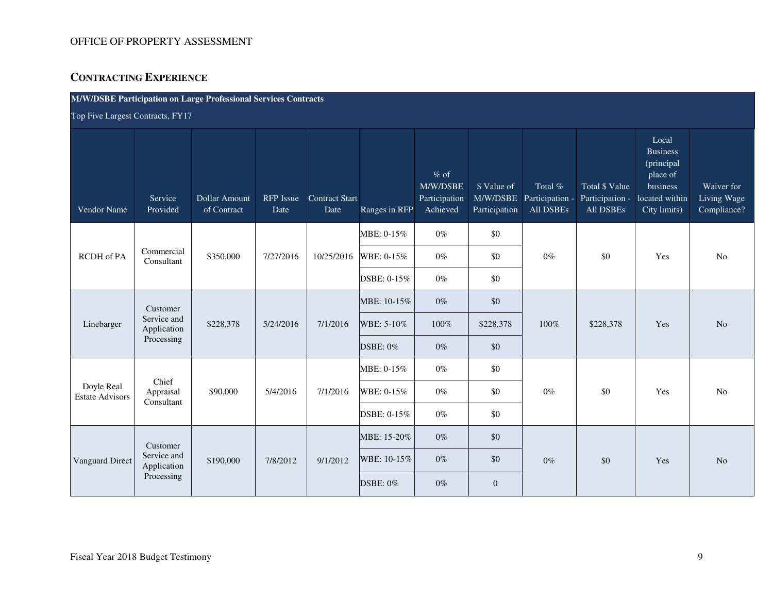## **CONTRACTING EXPERIENCE**

| <b>M/W/DSBE Participation on Large Professional Services Contracts</b> |  |
|------------------------------------------------------------------------|--|
|------------------------------------------------------------------------|--|

Top Five Largest Contracts, FY17

| <b>Vendor Name</b>                   | Service<br>Provided        | Dollar Amount<br>of Contract | <b>RFP</b> Issue<br>Date | Contract Start<br>Date | Ranges in RFP   | $%$ of<br>M/W/DSBE<br>Participation<br>Achieved | \$ Value of<br>M/W/DSBE<br>Participation | Total %<br>Participation -<br>All DSBEs | Total \$ Value<br>Participation -<br>All DSBEs | Local<br><b>Business</b><br>(principal<br>place of<br>business<br>located within<br>City limits) | Waiver for<br>Living Wage<br>Compliance? |
|--------------------------------------|----------------------------|------------------------------|--------------------------|------------------------|-----------------|-------------------------------------------------|------------------------------------------|-----------------------------------------|------------------------------------------------|--------------------------------------------------------------------------------------------------|------------------------------------------|
|                                      |                            |                              |                          |                        | MBE: 0-15%      | $0\%$                                           | \$0                                      |                                         |                                                |                                                                                                  |                                          |
| RCDH of PA                           | Commercial<br>Consultant   | \$350,000                    | 7/27/2016                | 10/25/2016             | WBE: 0-15%      | $0\%$                                           | \$0                                      | $0\%$                                   | \$0                                            | Yes                                                                                              | N <sub>o</sub>                           |
|                                      |                            |                              |                          |                        | DSBE: 0-15%     | $0\%$                                           | \$0                                      |                                         |                                                |                                                                                                  |                                          |
|                                      | Customer                   |                              |                          |                        | MBE: 10-15%     | $0\%$                                           | \$0                                      |                                         |                                                |                                                                                                  |                                          |
| Linebarger                           | Service and<br>Application | \$228,378                    | 5/24/2016                | 7/1/2016               | WBE: 5-10%      | 100%                                            | \$228,378                                | 100%                                    | \$228,378                                      | Yes                                                                                              | N <sub>o</sub>                           |
|                                      | Processing                 |                              |                          |                        | <b>DSBE: 0%</b> | $0\%$                                           | \$0                                      |                                         |                                                |                                                                                                  |                                          |
|                                      | Chief                      |                              |                          |                        | MBE: 0-15%      | $0\%$                                           | \$0                                      |                                         |                                                |                                                                                                  |                                          |
| Doyle Real<br><b>Estate Advisors</b> | Appraisal<br>Consultant    | \$90,000                     | 5/4/2016                 | 7/1/2016               | WBE: 0-15%      | $0\%$                                           | \$0                                      | $0\%$                                   | \$0                                            | Yes                                                                                              | No                                       |
|                                      |                            |                              |                          |                        | DSBE: 0-15%     | $0\%$                                           | \$0                                      |                                         |                                                |                                                                                                  |                                          |
|                                      | Customer                   |                              |                          |                        | MBE: 15-20%     | $0\%$                                           | \$0                                      |                                         |                                                |                                                                                                  |                                          |
| Vanguard Direct                      | Service and<br>Application | \$190,000                    | 7/8/2012                 | 9/1/2012               | WBE: 10-15%     | $0\%$                                           | \$0                                      | $0\%$                                   | \$0                                            | Yes                                                                                              | N <sub>o</sub>                           |
|                                      | Processing                 |                              |                          |                        | <b>DSBE: 0%</b> | $0\%$                                           | $\overline{0}$                           |                                         |                                                |                                                                                                  |                                          |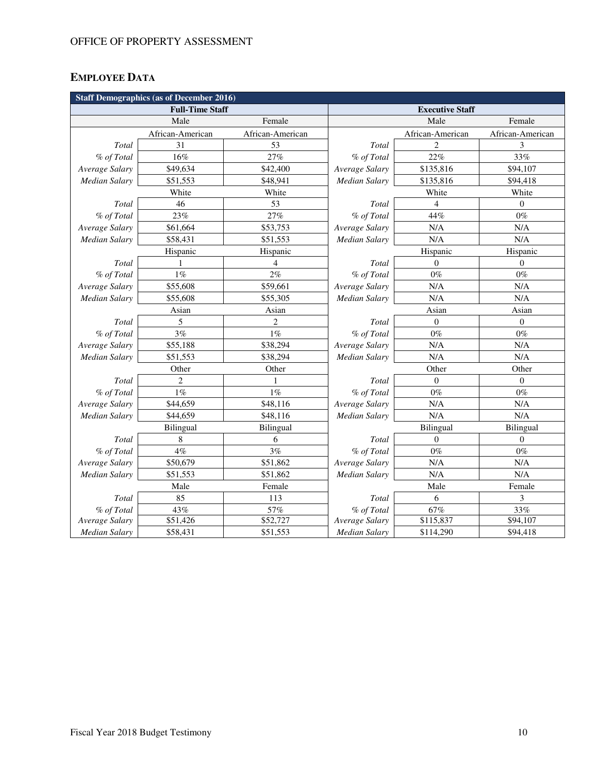# **EMPLOYEE DATA**

| <b>Staff Demographics (as of December 2016)</b> |                        |                  |                |                        |                  |  |  |
|-------------------------------------------------|------------------------|------------------|----------------|------------------------|------------------|--|--|
|                                                 | <b>Full-Time Staff</b> |                  |                | <b>Executive Staff</b> |                  |  |  |
|                                                 | Male                   | Female           |                | Male                   | Female           |  |  |
|                                                 | African-American       | African-American |                | African-American       | African-American |  |  |
| Total                                           | 31                     | 53               | Total          | $\mathfrak{D}$         | 3                |  |  |
| % of Total                                      | 16%                    | 27%              | % of Total     | 22%                    | 33%              |  |  |
| Average Salary                                  | \$49,634               | \$42,400         | Average Salary | \$135,816              | \$94,107         |  |  |
| Median Salary                                   | \$51,553               | \$48,941         | Median Salary  | \$135,816              | \$94,418         |  |  |
|                                                 | White                  | White            |                | White                  | White            |  |  |
| Total                                           | 46                     | 53               | Total          | $\overline{4}$         | $\overline{0}$   |  |  |
| % of Total                                      | 23%                    | 27%              | % of Total     | 44%                    | $0\%$            |  |  |
| Average Salary                                  | \$61,664               | \$53,753         | Average Salary | N/A                    | N/A              |  |  |
| <b>Median Salary</b>                            | \$58,431               | \$51,553         | Median Salary  | N/A                    | N/A              |  |  |
|                                                 | Hispanic               | Hispanic         |                | Hispanic               | Hispanic         |  |  |
| Total                                           | 1                      | $\overline{4}$   | Total          | $\overline{0}$         | $\Omega$         |  |  |
| % of Total                                      | $1\%$                  | 2%               | % of Total     | $0\%$                  | $0\%$            |  |  |
| Average Salary                                  | \$55,608               | \$59,661         | Average Salary | N/A                    | N/A              |  |  |
| <b>Median Salary</b>                            | \$55,608               | \$55,305         | Median Salary  | N/A                    | N/A              |  |  |
|                                                 | Asian                  | Asian            |                | Asian                  | Asian            |  |  |
| Total                                           | 5                      | $\overline{2}$   | Total          | $\boldsymbol{0}$       | $\boldsymbol{0}$ |  |  |
| % of Total                                      | 3%                     | $1\%$            | % of Total     | $0\%$                  | $0\%$            |  |  |
| Average Salary                                  | \$55,188               | \$38,294         | Average Salary | N/A                    | N/A              |  |  |
| <b>Median Salary</b>                            | \$51,553               | \$38,294         | Median Salary  | N/A                    | N/A              |  |  |
|                                                 | Other                  | Other            |                | Other                  | Other            |  |  |
| Total                                           | $\overline{c}$         | 1                | Total          | $\overline{0}$         | $\boldsymbol{0}$ |  |  |
| % of Total                                      | $1\%$                  | 1%               | % of Total     | $0\%$                  | $0\%$            |  |  |
| Average Salary                                  | \$44,659               | \$48,116         | Average Salary | N/A                    | N/A              |  |  |
| Median Salary                                   | \$44,659               | \$48,116         | Median Salary  | N/A                    | N/A              |  |  |
|                                                 | Bilingual              | Bilingual        |                | <b>Bilingual</b>       | Bilingual        |  |  |
| Total                                           | 8                      | 6                | Total          | $\boldsymbol{0}$       | $\overline{0}$   |  |  |
| % of Total                                      | $4\%$                  | 3%               | % of Total     | $0\%$                  | $0\%$            |  |  |
| Average Salary                                  | \$50,679               | \$51,862         | Average Salary | N/A                    | N/A              |  |  |
| <b>Median Salary</b>                            | \$51,553               | \$51,862         | Median Salary  | N/A                    | N/A              |  |  |
|                                                 | Male                   | Female           |                | Male                   | Female           |  |  |
| Total                                           | 85                     | 113              | Total          | 6                      | 3                |  |  |
| % of Total                                      | 43%                    | 57%              | % of Total     | 67%                    | 33%              |  |  |
| Average Salary                                  | \$51,426               | \$52,727         | Average Salary | \$115,837              | \$94,107         |  |  |
| <b>Median Salary</b>                            | \$58,431               | \$51,553         | Median Salary  | \$114,290              | \$94,418         |  |  |